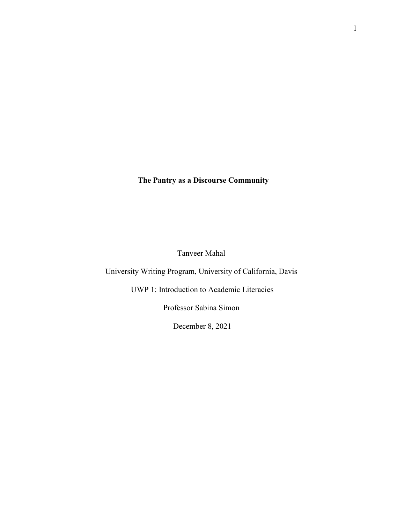**The Pantry as a Discourse Community**

Tanveer Mahal

University Writing Program, University of California, Davis

UWP 1: Introduction to Academic Literacies

Professor Sabina Simon

December 8, 2021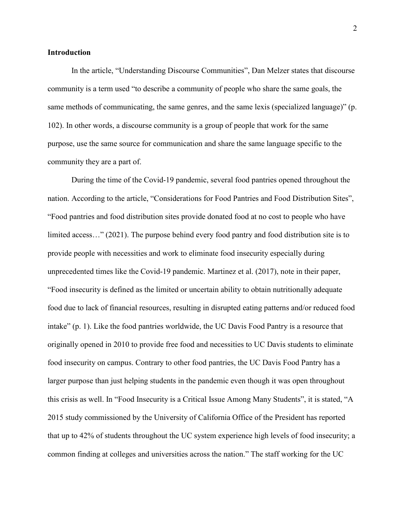# **Introduction**

In the article, "Understanding Discourse Communities", Dan Melzer states that discourse community is a term used "to describe a community of people who share the same goals, the same methods of communicating, the same genres, and the same lexis (specialized language)" (p. 102). In other words, a discourse community is a group of people that work for the same purpose, use the same source for communication and share the same language specific to the community they are a part of.

During the time of the Covid-19 pandemic, several food pantries opened throughout the nation. According to the article, "Considerations for Food Pantries and Food Distribution Sites", "Food pantries and food distribution sites provide donated food at no cost to people who have limited access…" (2021). The purpose behind every food pantry and food distribution site is to provide people with necessities and work to eliminate food insecurity especially during unprecedented times like the Covid-19 pandemic. Martinez et al. (2017), note in their paper, "Food insecurity is defined as the limited or uncertain ability to obtain nutritionally adequate food due to lack of financial resources, resulting in disrupted eating patterns and/or reduced food intake" (p. 1). Like the food pantries worldwide, the UC Davis Food Pantry is a resource that originally opened in 2010 to provide free food and necessities to UC Davis students to eliminate food insecurity on campus. Contrary to other food pantries, the UC Davis Food Pantry has a larger purpose than just helping students in the pandemic even though it was open throughout this crisis as well. In "Food Insecurity is a Critical Issue Among Many Students", it is stated, "A 2015 study commissioned by the University of California Office of the President has reported that up to 42% of students throughout the UC system experience high levels of food insecurity; a common finding at colleges and universities across the nation." The staff working for the UC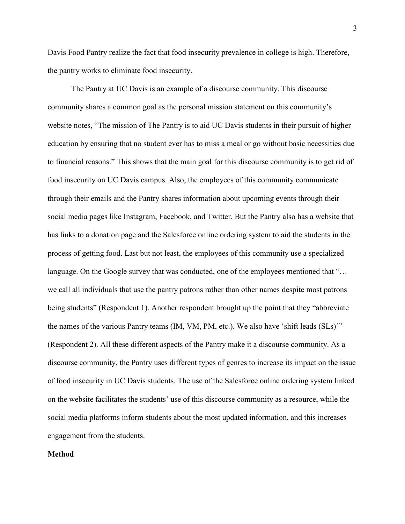Davis Food Pantry realize the fact that food insecurity prevalence in college is high. Therefore, the pantry works to eliminate food insecurity.

The Pantry at UC Davis is an example of a discourse community. This discourse community shares a common goal as the personal mission statement on this community's website notes, "The mission of The Pantry is to aid UC Davis students in their pursuit of higher education by ensuring that no student ever has to miss a meal or go without basic necessities due to financial reasons." This shows that the main goal for this discourse community is to get rid of food insecurity on UC Davis campus. Also, the employees of this community communicate through their emails and the Pantry shares information about upcoming events through their social media pages like Instagram, Facebook, and Twitter. But the Pantry also has a website that has links to a donation page and the Salesforce online ordering system to aid the students in the process of getting food. Last but not least, the employees of this community use a specialized language. On the Google survey that was conducted, one of the employees mentioned that "... we call all individuals that use the pantry patrons rather than other names despite most patrons being students" (Respondent 1). Another respondent brought up the point that they "abbreviate the names of the various Pantry teams (IM, VM, PM, etc.). We also have 'shift leads (SLs)'" (Respondent 2). All these different aspects of the Pantry make it a discourse community. As a discourse community, the Pantry uses different types of genres to increase its impact on the issue of food insecurity in UC Davis students. The use of the Salesforce online ordering system linked on the website facilitates the students' use of this discourse community as a resource, while the social media platforms inform students about the most updated information, and this increases engagement from the students.

#### **Method**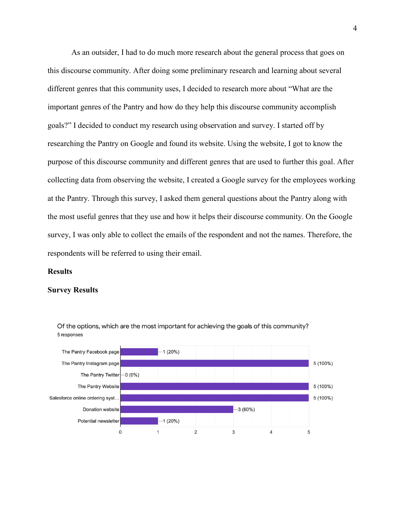As an outsider, I had to do much more research about the general process that goes on this discourse community. After doing some preliminary research and learning about several different genres that this community uses, I decided to research more about "What are the important genres of the Pantry and how do they help this discourse community accomplish goals?" I decided to conduct my research using observation and survey. I started off by researching the Pantry on Google and found its website. Using the website, I got to know the purpose of this discourse community and different genres that are used to further this goal. After collecting data from observing the website, I created a Google survey for the employees working at the Pantry. Through this survey, I asked them general questions about the Pantry along with the most useful genres that they use and how it helps their discourse community. On the Google survey, I was only able to collect the emails of the respondent and not the names. Therefore, the respondents will be referred to using their email.

### **Results**

#### **Survey Results**



Of the options, which are the most important for achieving the goals of this community? 5 responses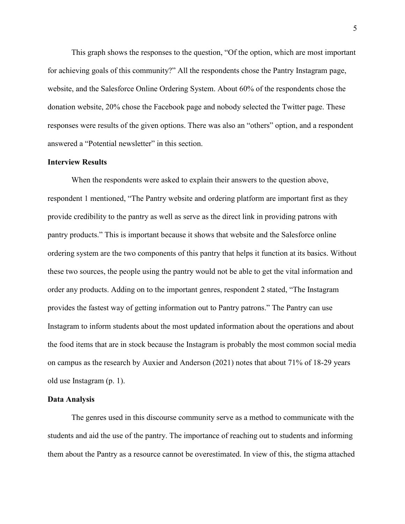This graph shows the responses to the question, "Of the option, which are most important for achieving goals of this community?" All the respondents chose the Pantry Instagram page, website, and the Salesforce Online Ordering System. About 60% of the respondents chose the donation website, 20% chose the Facebook page and nobody selected the Twitter page. These responses were results of the given options. There was also an "others" option, and a respondent answered a "Potential newsletter" in this section.

## **Interview Results**

When the respondents were asked to explain their answers to the question above, respondent 1 mentioned, "The Pantry website and ordering platform are important first as they provide credibility to the pantry as well as serve as the direct link in providing patrons with pantry products." This is important because it shows that website and the Salesforce online ordering system are the two components of this pantry that helps it function at its basics. Without these two sources, the people using the pantry would not be able to get the vital information and order any products. Adding on to the important genres, respondent 2 stated, "The Instagram provides the fastest way of getting information out to Pantry patrons." The Pantry can use Instagram to inform students about the most updated information about the operations and about the food items that are in stock because the Instagram is probably the most common social media on campus as the research by Auxier and Anderson (2021) notes that about 71% of 18-29 years old use Instagram (p. 1).

#### **Data Analysis**

The genres used in this discourse community serve as a method to communicate with the students and aid the use of the pantry. The importance of reaching out to students and informing them about the Pantry as a resource cannot be overestimated. In view of this, the stigma attached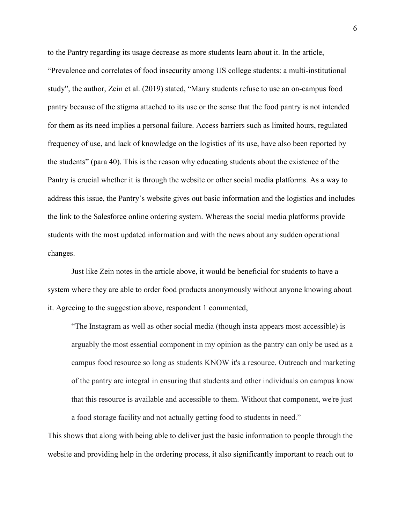to the Pantry regarding its usage decrease as more students learn about it. In the article, "Prevalence and correlates of food insecurity among US college students: a multi-institutional study", the author, Zein et al. (2019) stated, "Many students refuse to use an on-campus food pantry because of the stigma attached to its use or the sense that the food pantry is not intended for them as its need implies a personal failure. Access barriers such as limited hours, regulated frequency of use, and lack of knowledge on the logistics of its use, have also been reported by the students" (para 40). This is the reason why educating students about the existence of the Pantry is crucial whether it is through the website or other social media platforms. As a way to address this issue, the Pantry's website gives out basic information and the logistics and includes the link to the Salesforce online ordering system. Whereas the social media platforms provide students with the most updated information and with the news about any sudden operational changes.

Just like Zein notes in the article above, it would be beneficial for students to have a system where they are able to order food products anonymously without anyone knowing about it. Agreeing to the suggestion above, respondent 1 commented,

"The Instagram as well as other social media (though insta appears most accessible) is arguably the most essential component in my opinion as the pantry can only be used as a campus food resource so long as students KNOW it's a resource. Outreach and marketing of the pantry are integral in ensuring that students and other individuals on campus know that this resource is available and accessible to them. Without that component, we're just a food storage facility and not actually getting food to students in need."

This shows that along with being able to deliver just the basic information to people through the website and providing help in the ordering process, it also significantly important to reach out to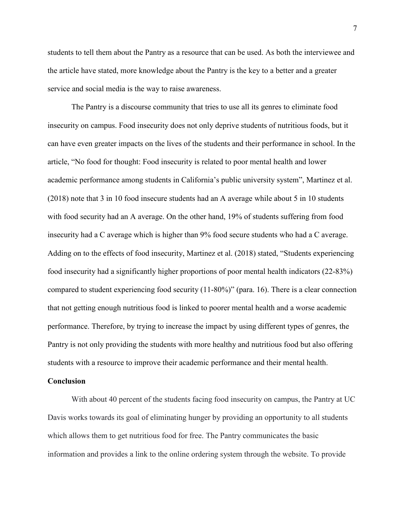students to tell them about the Pantry as a resource that can be used. As both the interviewee and the article have stated, more knowledge about the Pantry is the key to a better and a greater service and social media is the way to raise awareness.

The Pantry is a discourse community that tries to use all its genres to eliminate food insecurity on campus. Food insecurity does not only deprive students of nutritious foods, but it can have even greater impacts on the lives of the students and their performance in school. In the article, "No food for thought: Food insecurity is related to poor mental health and lower academic performance among students in California's public university system", Martinez et al. (2018) note that 3 in 10 food insecure students had an A average while about 5 in 10 students with food security had an A average. On the other hand, 19% of students suffering from food insecurity had a C average which is higher than 9% food secure students who had a C average. Adding on to the effects of food insecurity, Martinez et al. (2018) stated, "Students experiencing food insecurity had a significantly higher proportions of poor mental health indicators (22-83%) compared to student experiencing food security (11-80%)" (para. 16). There is a clear connection that not getting enough nutritious food is linked to poorer mental health and a worse academic performance. Therefore, by trying to increase the impact by using different types of genres, the Pantry is not only providing the students with more healthy and nutritious food but also offering students with a resource to improve their academic performance and their mental health.

## **Conclusion**

With about 40 percent of the students facing food insecurity on campus, the Pantry at UC Davis works towards its goal of eliminating hunger by providing an opportunity to all students which allows them to get nutritious food for free. The Pantry communicates the basic information and provides a link to the online ordering system through the website. To provide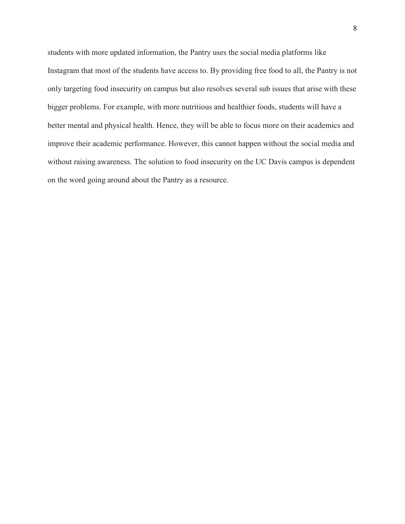students with more updated information, the Pantry uses the social media platforms like Instagram that most of the students have access to. By providing free food to all, the Pantry is not only targeting food insecurity on campus but also resolves several sub issues that arise with these bigger problems. For example, with more nutritious and healthier foods, students will have a better mental and physical health. Hence, they will be able to focus more on their academics and improve their academic performance. However, this cannot happen without the social media and without raising awareness. The solution to food insecurity on the UC Davis campus is dependent on the word going around about the Pantry as a resource.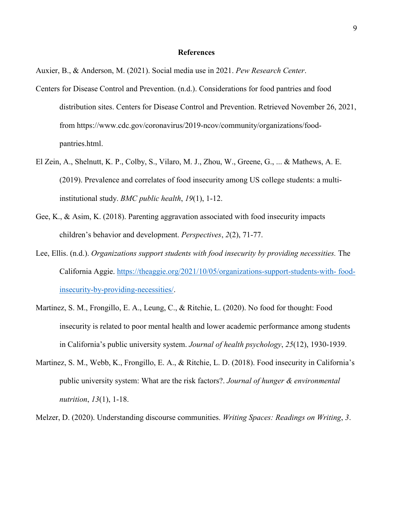### **References**

Auxier, B., & Anderson, M. (2021). Social media use in 2021. *Pew Research Center*.

- Centers for Disease Control and Prevention. (n.d.). Considerations for food pantries and food distribution sites. Centers for Disease Control and Prevention. Retrieved November 26, 2021, from https://www.cdc.gov/coronavirus/2019-ncov/community/organizations/foodpantries.html.
- El Zein, A., Shelnutt, K. P., Colby, S., Vilaro, M. J., Zhou, W., Greene, G., ... & Mathews, A. E. (2019). Prevalence and correlates of food insecurity among US college students: a multiinstitutional study. *BMC public health*, *19*(1), 1-12.
- Gee, K., & Asim, K. (2018). Parenting aggravation associated with food insecurity impacts children's behavior and development. *Perspectives*, *2*(2), 71-77.
- Lee, Ellis. (n.d.). *Organizations support students with food insecurity by providing necessities*. The California Aggie. [https://theaggie.org/2021/10/05/organizations-support-students-with-](https://theaggie.org/2021/10/05/organizations-support-students-with-%20food-insecurity-by-providing-necessities/) food[insecurity-by-providing-necessities/.](https://theaggie.org/2021/10/05/organizations-support-students-with-%20food-insecurity-by-providing-necessities/)
- Martinez, S. M., Frongillo, E. A., Leung, C., & Ritchie, L. (2020). No food for thought: Food insecurity is related to poor mental health and lower academic performance among students in California's public university system. *Journal of health psychology*, *25*(12), 1930-1939.
- Martinez, S. M., Webb, K., Frongillo, E. A., & Ritchie, L. D. (2018). Food insecurity in California's public university system: What are the risk factors?. *Journal of hunger & environmental nutrition*, *13*(1), 1-18.

Melzer, D. (2020). Understanding discourse communities. *Writing Spaces: Readings on Writing*, *3*.